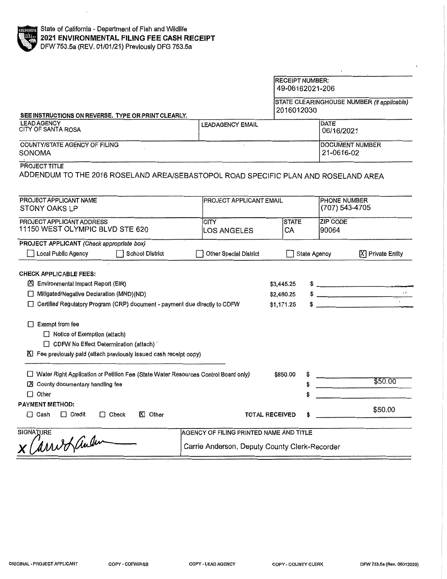|                                                                                                                                                                                                                                                                                                                                                                                             |                                                                                          | <b>RECEIPT NUMBER:</b>                 | 49-06162021-206 |                                               |
|---------------------------------------------------------------------------------------------------------------------------------------------------------------------------------------------------------------------------------------------------------------------------------------------------------------------------------------------------------------------------------------------|------------------------------------------------------------------------------------------|----------------------------------------|-----------------|-----------------------------------------------|
| SEE INSTRUCTIONS ON REVERSE. TYPE OR PRINT CLEARLY.                                                                                                                                                                                                                                                                                                                                         |                                                                                          | 2016012030                             |                 | STATE CLEARINGHOUSE NUMBER (If applicable)    |
| <b>LEAD AGENCY</b><br>CITY OF SANTA ROSA                                                                                                                                                                                                                                                                                                                                                    | <b>LEADAGENCY EMAIL</b>                                                                  |                                        | DATE            | 06/16/2021                                    |
| COUNTY/STATE AGENCY OF FILING<br>SONOMA                                                                                                                                                                                                                                                                                                                                                     |                                                                                          |                                        |                 | DOCUMENT NUMBER<br>21-0616-02                 |
| <b>PROJECT TITLE</b><br>ADDENDUM TO THE 2016 ROSELAND AREA/SEBASTOPOL ROAD SPECIFIC PLAN AND ROSELAND AREA                                                                                                                                                                                                                                                                                  |                                                                                          |                                        |                 |                                               |
| PROJECT APPLICANT NAME<br>STONY OAKS LP                                                                                                                                                                                                                                                                                                                                                     | PROJECT APPLICANT EMAIL                                                                  |                                        |                 | <b>PHONE NUMBER</b><br>(707) 543-4705         |
| PROJECT APPLICANT ADDRESS<br>11150 WEST OLYMPIC BLVD STE 620                                                                                                                                                                                                                                                                                                                                | <b>CITY</b><br><b>LOS ANGELES</b>                                                        | <b>STATE</b><br>CA                     | 90064           | ZIP CODE                                      |
| PROJECT APPLICANT (Check appropriate box)<br>Local Public Agency<br><b>School District</b>                                                                                                                                                                                                                                                                                                  | <b>Other Special District</b>                                                            |                                        | State Agency    | X Private Entity                              |
| <b>CHECK APPLICABLE FEES:</b><br><b>X</b> Environmental Impact Report (EIR)<br>□ Mitigated/Negative Declaration (MND)(ND)<br>□ Certified Regulatory Program (CRP) document - payment due directly to CDFW<br>$\Box$ Exempt from fee<br>$\Box$ Notice of Exemption (attach)<br>□ CDFW No Effect Determination (attach)<br>K Fee previously paid (attach previously issued cash receipt copy) |                                                                                          | \$3,445.25<br>\$2,480.25<br>\$1,171.25 |                 | $\ddot{\text{S}}$<br>$\overline{\phantom{a}}$ |
| Water Right Application or Petition Fee (State Water Resources Control Board only)<br>X County documentary handling fee<br>$\Box$ Other                                                                                                                                                                                                                                                     |                                                                                          | \$850.00                               |                 | \$50.00                                       |
| <b>PAYMENT METHOD:</b><br><b>区 Other</b><br>$\Box$ Cash<br>$\Box$ Credit<br>$\Box$ Check                                                                                                                                                                                                                                                                                                    |                                                                                          | <b>TOTAL RECEIVED</b>                  |                 | \$50.00                                       |
| <b>SIGNATURE</b><br>arrio Lander                                                                                                                                                                                                                                                                                                                                                            | AGENCY OF FILING PRINTED NAME AND TITLE<br>Carrie Anderson, Deputy County Clerk-Recorder |                                        |                 |                                               |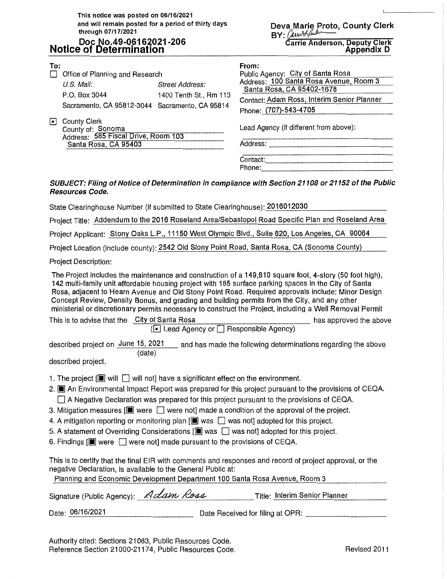**This notice was posted on 06/16/2021 and will remain posted for a period of thirty days through 07/17/2021** 

## **Doc No.49-06162021-206 Notice of Determination**

**Deva Marie Proto, County Clerk**  · **BY:** *{),w;,AtJJ,,--*

**Carrie Anderson, Deputy Clerk Appendix D** 

 $\mathbf{I}$ 

| To:<br>П<br>U.S. Mail:<br><b>D</b> County Clerk                                                                                                                                                                                                                                                                                                                                                                                                                                                                                                                                                                                                                                                                                                                     | Office of Planning and Research<br>P.O. Box 3044<br>County of: Sonoma<br>Address: 585 Fiscal Drive, Room 103<br>Santa Rosa, CA 95403 | <b>Street Address:</b><br>1400 Tenth St., Rm 113<br>Sacramento, CA 95812-3044 Sacramento, CA 95814 | From:<br>Public Agency: City of Santa Rosa<br>Address: 100 Santa Rosa Avenue, Room 3<br>Santa Rosa, CA 95402-1678<br>Contact: Adam Ross, Interim Senior Planner<br>Phone: (707)-543-4705<br>Lead Agency (if different from above):<br>.<br>2004 was also was very server that the same was also also was not a the same political and also find that you are there<br>Contact:                                                                                                                                                    |  |
|---------------------------------------------------------------------------------------------------------------------------------------------------------------------------------------------------------------------------------------------------------------------------------------------------------------------------------------------------------------------------------------------------------------------------------------------------------------------------------------------------------------------------------------------------------------------------------------------------------------------------------------------------------------------------------------------------------------------------------------------------------------------|--------------------------------------------------------------------------------------------------------------------------------------|----------------------------------------------------------------------------------------------------|-----------------------------------------------------------------------------------------------------------------------------------------------------------------------------------------------------------------------------------------------------------------------------------------------------------------------------------------------------------------------------------------------------------------------------------------------------------------------------------------------------------------------------------|--|
| <b>Resources Code.</b>                                                                                                                                                                                                                                                                                                                                                                                                                                                                                                                                                                                                                                                                                                                                              |                                                                                                                                      |                                                                                                    | SUBJECT: Filing of Notice of Determination in compliance with Section 21108 or 21152 of the Public                                                                                                                                                                                                                                                                                                                                                                                                                                |  |
|                                                                                                                                                                                                                                                                                                                                                                                                                                                                                                                                                                                                                                                                                                                                                                     |                                                                                                                                      | State Clearinghouse Number (if submitted to State Clearinghouse): 2016012030                       |                                                                                                                                                                                                                                                                                                                                                                                                                                                                                                                                   |  |
|                                                                                                                                                                                                                                                                                                                                                                                                                                                                                                                                                                                                                                                                                                                                                                     |                                                                                                                                      |                                                                                                    | Project Title: Addendum to the 2016 Roseland Area/Sebastopol Road Specific Plan and Roseland Area                                                                                                                                                                                                                                                                                                                                                                                                                                 |  |
|                                                                                                                                                                                                                                                                                                                                                                                                                                                                                                                                                                                                                                                                                                                                                                     |                                                                                                                                      |                                                                                                    | Project Applicant: Stony Oaks L.P., 11150 West Olympic Blvd., Suite 620, Los Angeles, CA 90064                                                                                                                                                                                                                                                                                                                                                                                                                                    |  |
|                                                                                                                                                                                                                                                                                                                                                                                                                                                                                                                                                                                                                                                                                                                                                                     |                                                                                                                                      |                                                                                                    | Project Location (include county): 2542 Old Stony Point Road, Santa Rosa, CA (Sonoma County)                                                                                                                                                                                                                                                                                                                                                                                                                                      |  |
| <b>Project Description:</b>                                                                                                                                                                                                                                                                                                                                                                                                                                                                                                                                                                                                                                                                                                                                         |                                                                                                                                      |                                                                                                    |                                                                                                                                                                                                                                                                                                                                                                                                                                                                                                                                   |  |
|                                                                                                                                                                                                                                                                                                                                                                                                                                                                                                                                                                                                                                                                                                                                                                     |                                                                                                                                      |                                                                                                    | The Project includes the maintenance and construction of a 149,810 square foot, 4-story (50 foot high),<br>142 multi-family unit affordable housing project with 185 surface parking spaces in the City of Santa<br>Rosa, adjacent to Hearn Avenue and Old Stony Point Road. Required approvals include: Minor Design<br>Concept Review, Density Bonus, and grading and building permits from the City, and any other<br>ministerial or discretionary permits necessary to construct the Project, including a Well Removal Permit |  |
|                                                                                                                                                                                                                                                                                                                                                                                                                                                                                                                                                                                                                                                                                                                                                                     | This is to advise that the City of Santa Rosa                                                                                        | (□ Lead Agency or □ Responsible Agency)                                                            | has approved the above                                                                                                                                                                                                                                                                                                                                                                                                                                                                                                            |  |
|                                                                                                                                                                                                                                                                                                                                                                                                                                                                                                                                                                                                                                                                                                                                                                     |                                                                                                                                      |                                                                                                    |                                                                                                                                                                                                                                                                                                                                                                                                                                                                                                                                   |  |
| described project.                                                                                                                                                                                                                                                                                                                                                                                                                                                                                                                                                                                                                                                                                                                                                  | (date)                                                                                                                               |                                                                                                    | described project on June 15, 2021 __ and has made the following determinations regarding the above                                                                                                                                                                                                                                                                                                                                                                                                                               |  |
| 1. The project $[\blacksquare]$ will $\Box$ will not] have a significant effect on the environment.<br>2. <b>I</b> An Environmental Impact Report was prepared for this project pursuant to the provisions of CEQA.<br>$\Box$ A Negative Declaration was prepared for this project pursuant to the provisions of CEQA.<br>3. Mitigation measures $[\blacksquare]$ were $\Box$ were not] made a condition of the approval of the project.<br>4. A mitigation reporting or monitoring plan $[\blacksquare$ was $\Box$ was not] adopted for this project.<br>5. A statement of Overriding Considerations $[\blacksquare]$ was $\Box$ was not] adopted for this project.<br>6. Findings $[\blacksquare]$ were $\Box$ were not] made pursuant to the provisions of CEQA. |                                                                                                                                      |                                                                                                    |                                                                                                                                                                                                                                                                                                                                                                                                                                                                                                                                   |  |
|                                                                                                                                                                                                                                                                                                                                                                                                                                                                                                                                                                                                                                                                                                                                                                     |                                                                                                                                      | negative Declaration, is available to the General Public at:                                       | This is to certify that the final EIR with comments and responses and record of project approval, or the<br>Planning and Economic Development Department 100 Santa Rosa Avenue, Room 3                                                                                                                                                                                                                                                                                                                                            |  |
|                                                                                                                                                                                                                                                                                                                                                                                                                                                                                                                                                                                                                                                                                                                                                                     | Signature (Public Agency): Adam Ross                                                                                                 |                                                                                                    | Title: Interim Senior Planner                                                                                                                                                                                                                                                                                                                                                                                                                                                                                                     |  |

Date: **06/16/2021** Date Received for filing at OPR: \_\_\_\_\_\_\_\_ \_

Authority cited: Sections 21083, Public Resources Code. Reference Section 21000-21174, Public Resources Code. The resources Code Revised 2011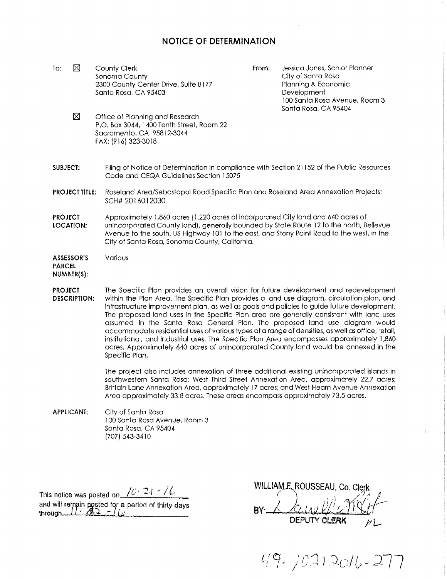## **NOTICE OF DETERMINATION**

To:  $\boxtimes$ County Clerk Sonoma County 2300 County Center Drive, Suite B177 Santa Rosa, CA 95403

From: Jessica Jones, Senior Planner City of Santa Rosa Planning & Economic **Development** 100 Santa Roso Avenue, Room 3 Santa Rosa, CA 95404

- ⊠ Office of Planning and Research P .0. Box 3044, 1400 Tenth Street, Room 22 Sacramento, CA 95812-3044 FAX: (916) 323-3018
- **SUBJECT:**  Filing of Notice of Determination in compliance with Section 21152 of the Public Resources Code and CEQA Guidelines Section 15075
- **PROJECTTITLE;** Roseland Area/Sebastopol Road\_Specific Plan and Roseland Area Annexation Projects; SCH# 2016012030
- **PROJECT** Approximately 1,860 acres (1,220 acres of incorporated City land and 640 acres of **LOCATION:** unincorporated County land), generally bounded by State Route 12 to the north, Bellevue Avenue to the south, US Highway 101 to the east, and Stony Point Road to the west, in the City of Santa Rosa, Sonoma County, California.

**ASSESSOR'S** Various

**PARCEL NUMBER(\$);** 

**PROJECT** The Specific Plan provides an overall vision for future development and redevelopment **DESCRIPTION:** within the Plan Area. The Specific Pion provides a land use diagram, circulation plan, and infrastructure improvement plan, as well as goals and policies to guide future development. The proposed land uses in the Specific Plan area are generally consistent with land uses assumed In the Santa Rosa General Plan. The proposed land use diagram would accommodate residential uses of various types at a range of densities, os well as office, retail, institutional, and industrial uses. The Specific Plan Area encompasses approximately 1,860 acres. Approximately 640 acres of unincorporated County land would be onnexed in the Specific Plan.

> The project also includes annexation of three additional existing unincorporated islands in southwestern Santa Rosa: West Third Street Annexation Area, approximately 22.7 acres; Brittain Lane Annexation Area, approximately 17 acres; and West Hearn Avenue Annexation Area approximately 33.8 acres. These areas encompass approximately 73.5 acres.

**APPLICANT;**  City of Santa Rosa 100 Santa Rosa Avenue, Room 3 Santa Rosa, CA 95404 (707) 543-3410

This notice was posted on  $\sqrt{C \cdot 24}$  /  $\sqrt{C}$ This notice was posted on  $\frac{10^{12} + 10^{10}}{200}$ <br>and will remain posted for a period of thirty days

WILLIAM E. ROUSSEAU, Co. Clerk

through I\_. ...l .. :. <sup>l</sup>L;; ··----- av· 6 ./o.: .. w.}/:.<JJU --~ **DEPUTY CLERK** 

 $49.70212016 - 277$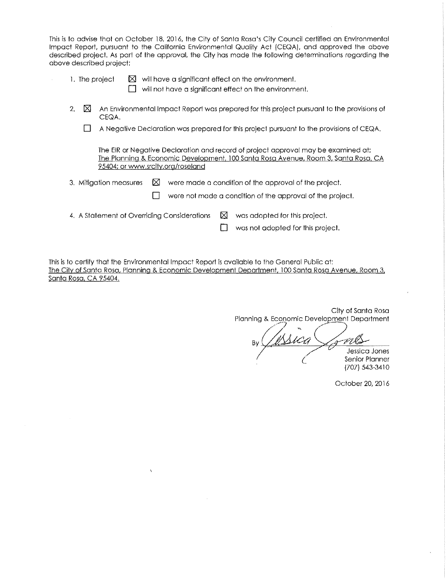This is to advise that on October 18, 2016, the City of Santa Rosa's City Council certified an Environmental Impact Report, pursuant to the California Environmental Quality Act (CEQA), and approved the above described project. As part of the approval, the City has made the following determinations regarding the above described project:

| 1. The project |  | $\boxtimes$ will have a significant effect on the environment. |
|----------------|--|----------------------------------------------------------------|
|----------------|--|----------------------------------------------------------------|

 $\Box$  will not have a significant effect on the environment.

- 2.  $\boxtimes$  An Environmental Impact Report was prepared for this project pursuant to the provisions of CEQA.
	- D A Negative Declaration was prepared for this project pursuant to the provisions of CEQA.

The EIR or Negative Declaration and record of project approval may be examined at: The Planning & Economic Development, 100 Santa Rosa Avenue, Room 3, Santa Rosa, CA 95404; or www.srcity.org/roseland

3. Mitigation measures  $\boxtimes$  were made a condition of the approval of the project.

 $\Box$  were not made a condition of the approval of the project.

4. A Statement of Overriding Considerations  $\boxtimes$  was adopted for this project.

 $\Box$  was not adopted for this project.

This is to certify that the Environmental Impact Report is available to the General Public at The City of Santa Rosa, Planning & Economic Development Deportment, 100 Santa Rosa Avenue, Room 3, Santa Rosa, CA 95404.

City of Santa Rosa Planning & Economic Development Department **By** USica Coms *(*  Jessica Jones Senior Planner

(707) 543-3410

October 20, 2016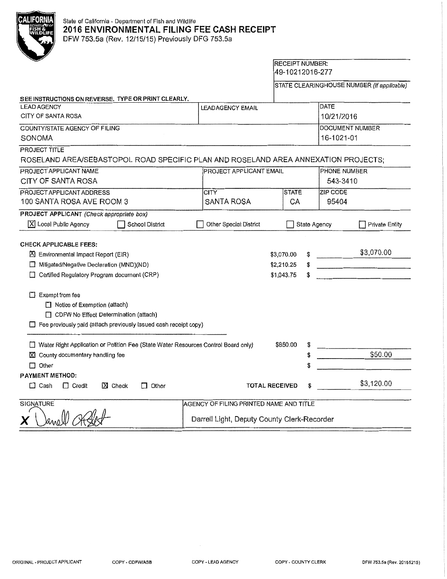| O<br>9 |
|--------|
| l s    |
| 10LIF  |
|        |
|        |
|        |
|        |
|        |

# State of California - Department of Fish and Wildlife **2016 ENVIRONMENTAL FILING FEE CASH RECEIPT**

DFW 753.5a (Rev. 12/15/15) Previously DFG 753.5a

# RECEIPT NUMBER: 49-10212016-277

STATE CLEARINGHOUSE NUMBER (If applicable)

| SEE INSTRUCTIONS ON REVERSE. TYPE OR PRINT CLEARLY.                                                                                                                                                                                                                                                                                           |                                             |                                        |                     |                 |
|-----------------------------------------------------------------------------------------------------------------------------------------------------------------------------------------------------------------------------------------------------------------------------------------------------------------------------------------------|---------------------------------------------|----------------------------------------|---------------------|-----------------|
| <b>LEAD AGENCY</b>                                                                                                                                                                                                                                                                                                                            | LEADAGENCY EMAIL                            |                                        | DATE                |                 |
| CITY OF SANTA ROSA                                                                                                                                                                                                                                                                                                                            |                                             |                                        | 10/21/2016          |                 |
| COUNTY/STATE AGENCY OF FILING                                                                                                                                                                                                                                                                                                                 |                                             |                                        |                     | DOCUMENT NUMBER |
| SONOMA                                                                                                                                                                                                                                                                                                                                        |                                             |                                        | 16-1021-01          |                 |
| PROJECT TITLE                                                                                                                                                                                                                                                                                                                                 |                                             |                                        |                     |                 |
| ROSELAND AREA/SEBASTOPOL ROAD SPECIFIC PLAN AND ROSELAND AREA ANNEXATION PROJECTS;                                                                                                                                                                                                                                                            |                                             |                                        |                     |                 |
| PROJECT APPLICANT NAME                                                                                                                                                                                                                                                                                                                        | <b>PROJECT APPLICANT EMAIL</b>              |                                        | <b>PHONE NUMBER</b> |                 |
| CITY OF SANTA ROSA                                                                                                                                                                                                                                                                                                                            |                                             |                                        | 543-3410            |                 |
| PROJECT APPLICANT ADDRESS                                                                                                                                                                                                                                                                                                                     | <b>CITY</b>                                 | <b>STATE</b>                           | <b>ZIP CODE</b>     |                 |
| 100 SANTA ROSA AVE ROOM 3                                                                                                                                                                                                                                                                                                                     | <b>SANTA ROSA</b>                           | CA                                     | 95404               |                 |
| PROJECT APPLICANT (Check appropriate box)                                                                                                                                                                                                                                                                                                     |                                             |                                        |                     |                 |
| $[\overline{X}]$ Local Public Agency<br><b>School District</b>                                                                                                                                                                                                                                                                                | Other Special District                      |                                        | State Agency        | Private Entity  |
| <b>CHECK APPLICABLE FEES:</b><br>■ Environmental Impact Report (EIR)<br>Mitigated/Negative Declaration (MND)(ND)<br>Certified Regulatory Program document (CRP)<br>$\Box$ Exempt from fee<br>Notice of Exemption (attach)<br>CDFW No Effect Determination (attach)<br>$\Box$ Fee previously paid (attach previously issued cash receipt copy) |                                             | \$3,070.00<br>\$2,210.25<br>\$1,043.75 |                     | \$3,070.00      |
| □ Water Right Application or Petition Fee (State Water Resources Control Board only)                                                                                                                                                                                                                                                          |                                             | \$850.00                               |                     |                 |
| X County documentary handling fee                                                                                                                                                                                                                                                                                                             |                                             | \$                                     |                     | \$50.00         |
| $\Box$ Other                                                                                                                                                                                                                                                                                                                                  |                                             | \$                                     |                     |                 |
| PAYMENT METHOD:                                                                                                                                                                                                                                                                                                                               |                                             |                                        |                     |                 |
| $\boxtimes$ Check<br>$\Box$ Other<br>$\Box$ Cash<br>□ Credit                                                                                                                                                                                                                                                                                  | <b>TOTAL RECEIVED</b>                       |                                        |                     | \$3,120.00      |
|                                                                                                                                                                                                                                                                                                                                               |                                             |                                        |                     |                 |
| <b>SIGNATURE</b>                                                                                                                                                                                                                                                                                                                              | AGENCY OF FILING PRINTED NAME AND TITLE     |                                        |                     |                 |
|                                                                                                                                                                                                                                                                                                                                               | Darrell Light, Deputy County Clerk-Recorder |                                        |                     |                 |